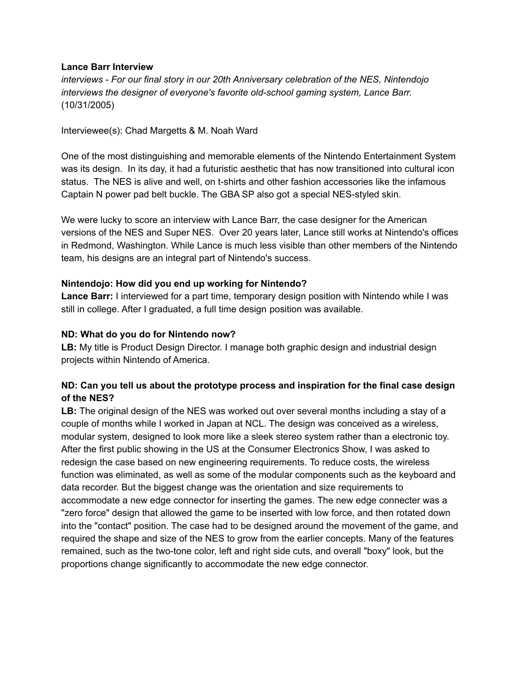#### **Lance Barr Interview**

*interviews - For our final story in our 20th Anniversary celebration of the NES, Nintendojo interviews the designer of everyone's favorite old-school gaming system, Lance Barr.* (10/31/2005)

Interviewee(s): Chad Margetts & M. Noah Ward

One of the most distinguishing and memorable elements of the Nintendo Entertainment System was its design. In its day, it had a futuristic aesthetic that has now transitioned into cultural icon status. The NES is alive and well, on t-shirts and other fashion accessories like the infamous Captain N power pad belt buckle. The GBA SP also got a special NES-styled skin.

We were lucky to score an interview with Lance Barr, the case designer for the American versions of the NES and Super NES. Over 20 years later, Lance still works at Nintendo's offices in Redmond, Washington. While Lance is much less visible than other members of the Nintendo team, his designs are an integral part of Nintendo's success.

#### **Nintendojo: How did you end up working for Nintendo?**

**Lance Barr:** I interviewed for a part time, temporary design position with Nintendo while I was still in college. After I graduated, a full time design position was available.

#### **ND: What do you do for Nintendo now?**

**LB:** My title is Product Design Director. I manage both graphic design and industrial design projects within Nintendo of America.

## **ND: Can you tell us about the prototype process and inspiration for the final case design of the NES?**

**LB:** The original design of the NES was worked out over several months including a stay of a couple of months while I worked in Japan at NCL. The design was conceived as a wireless, modular system, designed to look more like a sleek stereo system rather than a electronic toy. After the first public showing in the US at the Consumer Electronics Show, I was asked to redesign the case based on new engineering requirements. To reduce costs, the wireless function was eliminated, as well as some of the modular components such as the keyboard and data recorder. But the biggest change was the orientation and size requirements to accommodate a new edge connector for inserting the games. The new edge connecter was a "zero force" design that allowed the game to be inserted with low force, and then rotated down into the "contact" position. The case had to be designed around the movement of the game, and required the shape and size of the NES to grow from the earlier concepts. Many of the features remained, such as the two-tone color, left and right side cuts, and overall "boxy" look, but the proportions change significantly to accommodate the new edge connector.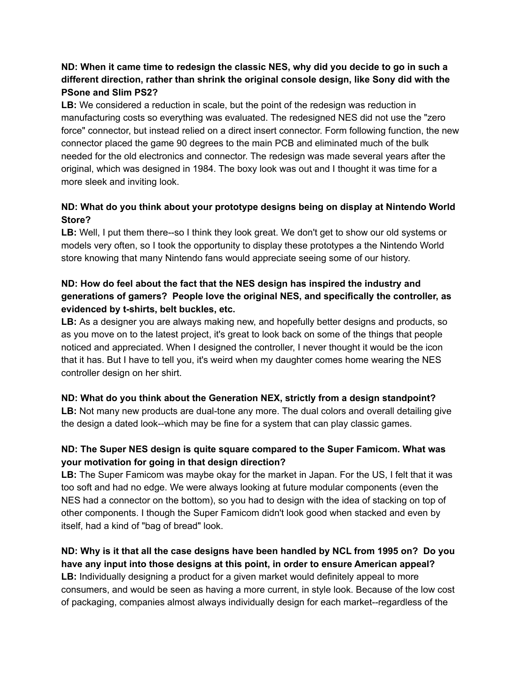## **ND: When it came time to redesign the classic NES, why did you decide to go in such a different direction, rather than shrink the original console design, like Sony did with the PSone and Slim PS2?**

**LB:** We considered a reduction in scale, but the point of the redesign was reduction in manufacturing costs so everything was evaluated. The redesigned NES did not use the "zero force" connector, but instead relied on a direct insert connector. Form following function, the new connector placed the game 90 degrees to the main PCB and eliminated much of the bulk needed for the old electronics and connector. The redesign was made several years after the original, which was designed in 1984. The boxy look was out and I thought it was time for a more sleek and inviting look.

# **ND: What do you think about your prototype designs being on display at Nintendo World Store?**

**LB:** Well, I put them there--so I think they look great. We don't get to show our old systems or models very often, so I took the opportunity to display these prototypes a the Nintendo World store knowing that many Nintendo fans would appreciate seeing some of our history.

# **ND: How do feel about the fact that the NES design has inspired the industry and generations of gamers? People love the original NES, and specifically the controller, as evidenced by t-shirts, belt buckles, etc.**

**LB:** As a designer you are always making new, and hopefully better designs and products, so as you move on to the latest project, it's great to look back on some of the things that people noticed and appreciated. When I designed the controller, I never thought it would be the icon that it has. But I have to tell you, it's weird when my daughter comes home wearing the NES controller design on her shirt.

# **ND: What do you think about the Generation NEX, strictly from a design standpoint?**

**LB:** Not many new products are dual-tone any more. The dual colors and overall detailing give the design a dated look--which may be fine for a system that can play classic games.

# **ND: The Super NES design is quite square compared to the Super Famicom. What was your motivation for going in that design direction?**

**LB:** The Super Famicom was maybe okay for the market in Japan. For the US, I felt that it was too soft and had no edge. We were always looking at future modular components (even the NES had a connector on the bottom), so you had to design with the idea of stacking on top of other components. I though the Super Famicom didn't look good when stacked and even by itself, had a kind of "bag of bread" look.

#### **ND: Why is it that all the case designs have been handled by NCL from 1995 on? Do you have any input into those designs at this point, in order to ensure American appeal?**

**LB:** Individually designing a product for a given market would definitely appeal to more consumers, and would be seen as having a more current, in style look. Because of the low cost of packaging, companies almost always individually design for each market--regardless of the